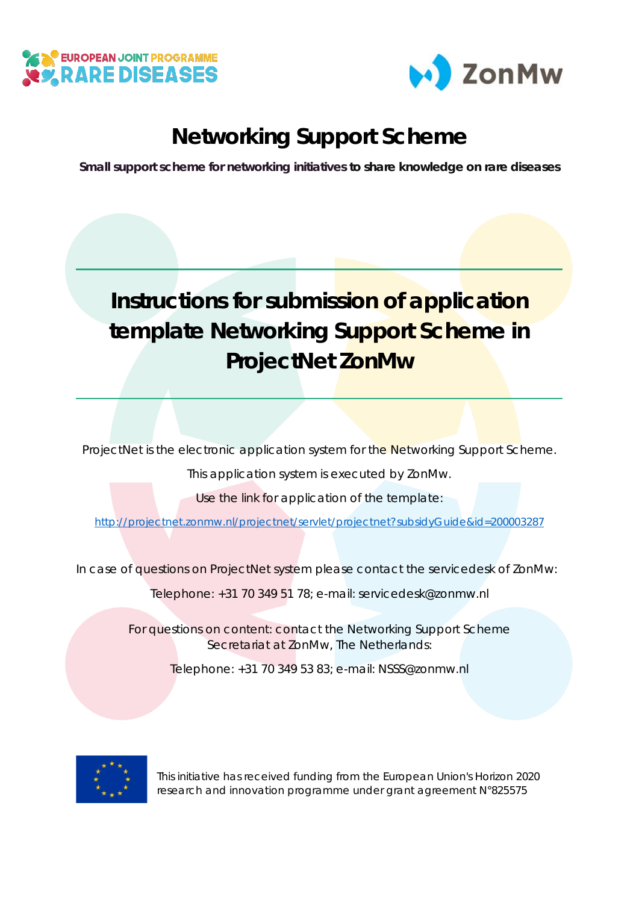



## **Networking Support Scheme**

**Small support scheme for networking initiatives to share knowledge on rare diseases**

## **Instructions for submission of application template Networking Support Scheme in ProjectNet ZonMw**

ProjectNet is the electronic application system for the Networking Support Scheme.

This application system is executed by ZonMw.

Use the link for application of the template:

<http://projectnet.zonmw.nl/projectnet/servlet/projectnet?subsidyGuide&id=200003287>

In case of questions on ProjectNet system please contact the servicedesk of ZonMw:

Telephone: +31 70 349 51 78; e-mail: servicedesk@zonmw.nl

For questions on content: contact the Networking Support Scheme Secretariat at ZonMw, The Netherlands:

Telephone: +31 70 349 53 83; e-mail: NSSS@zonmw.nl



This initiative has received funding from the European Union's Horizon 2020 research and innovation programme under grant agreement N°825575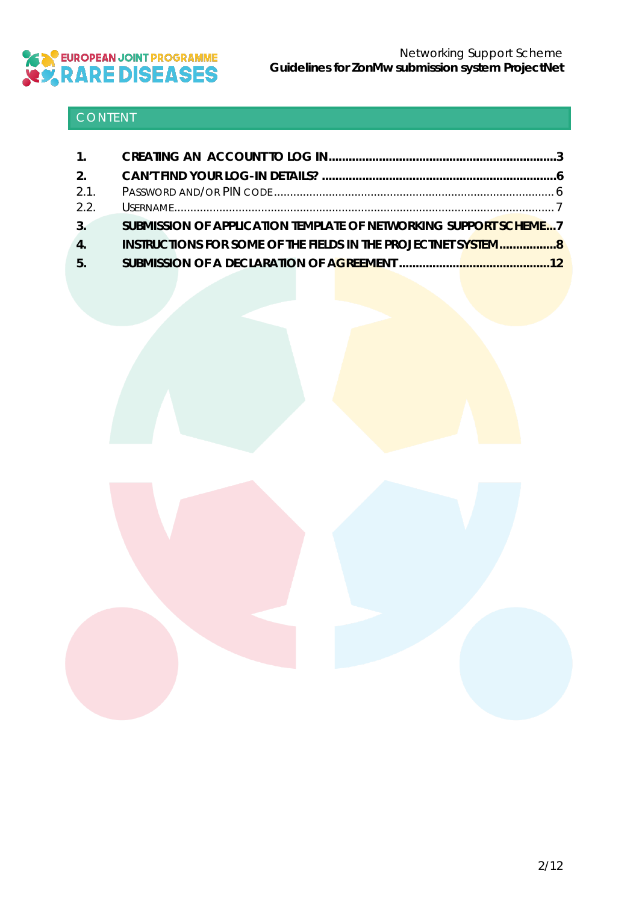

### CONTENT

| 2.   |                                                                      |  |
|------|----------------------------------------------------------------------|--|
| 2.1. |                                                                      |  |
| 2.2. |                                                                      |  |
| 3.   | SUBMISSION OF APPLICATION TEMPLATE OF NETWORKING SUPPORT SCHEME7     |  |
| 4.   | <b>INSTRUCTIONS FOR SOME OF THE FIELDS IN THE PROJECTNET SYSTEM8</b> |  |
| 5.   |                                                                      |  |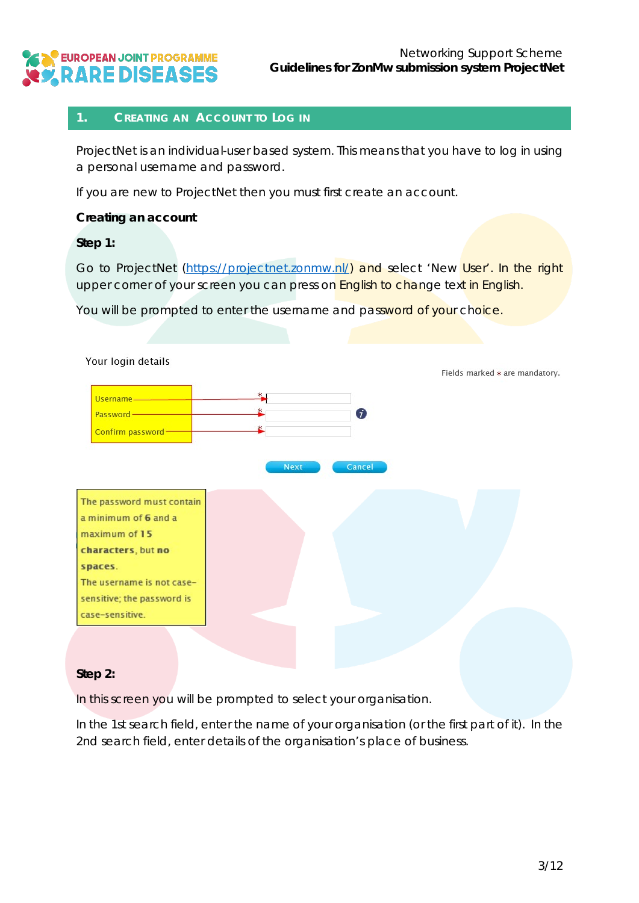

#### <span id="page-2-0"></span>**1. CREATING AN ACCOUNT TO LOG IN**

ProjectNet is an individual-user based system. This means that you have to log in using a personal username and password.

If you are new to ProjectNet then you must first create an account.

#### **Creating an account**

#### *Step 1:*

Go to ProjectNet [\(https://projectnet.zonmw.nl/\)](https://projectnet.zonmw.nl/) and select 'New User'. In the right upper corner of your screen you can press on English to change text in English.

You will be prompted to enter the username and password of your choice.

![](_page_2_Figure_9.jpeg)

#### *Step 2:*

In this screen you will be prompted to select your organisation.

In the 1st search field, enter the name of your organisation (or the first part of it). In the 2nd search field, enter details of the organisation's place of business.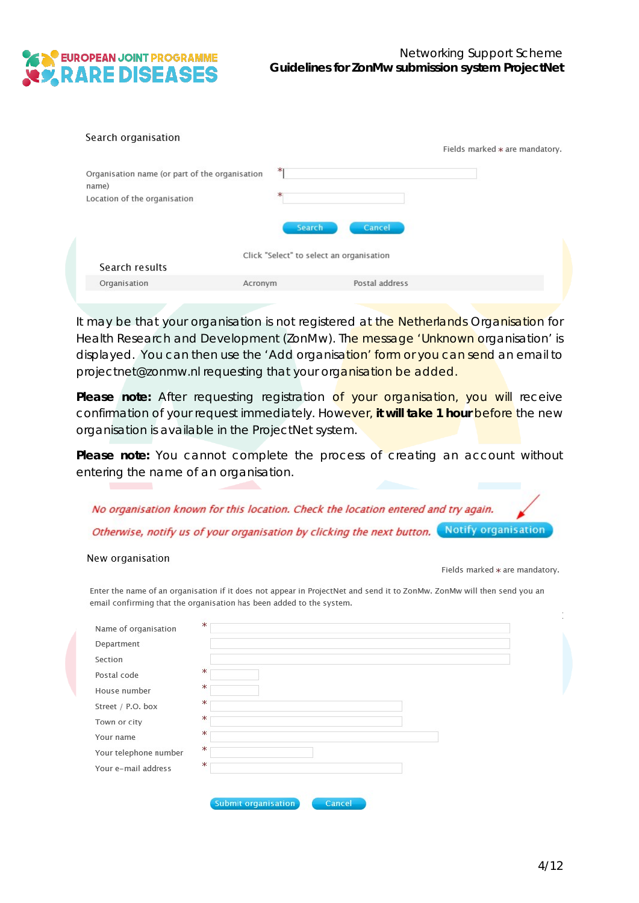![](_page_3_Picture_0.jpeg)

| Search organisation                                                                     | Fields marked * are mandatory.           |
|-----------------------------------------------------------------------------------------|------------------------------------------|
| Organisation name (or part of the organisation<br>name)<br>Location of the organisation | ж<br>ж<br><b>Search</b><br>Cancel        |
| Search results                                                                          | Click "Select" to select an organisation |
| Organisation<br>Acronym                                                                 | Postal address                           |

It may be that your organisation is not registered at the Netherlands Organisation for Health Research and Development (ZonMw). The message 'Unknown organisation' is displayed. You can then use the 'Add organisation' form or you can send an email to projectnet@zonmw.nl requesting that your organisation be added.

Please note: After requesting registration of your organisation, you will receive confirmation of your request immediately. However, **it will take 1 hour** before the new organisation is available in the ProjectNet system.

Please note: You cannot complete the process of creating an account without entering the name of an organisation.

| No organisation known for this location. Check the location entered and try again.         |  |
|--------------------------------------------------------------------------------------------|--|
| Otherwise, notify us of your organisation by clicking the next button. Notify organisation |  |

#### New organisation

Fields marked \* are mandatory.

Enter the name of an organisation if it does not appear in ProjectNet and send it to ZonMw. ZonMw will then send you an<br>email confirming that the organisation has been added to the system.

| Section<br>Ж<br>Postal code<br>ж<br>House number<br>Ж<br>Street / P.O. box<br>Ж<br>Town or city<br>Ж<br>Your name | Department |  |  |  |
|-------------------------------------------------------------------------------------------------------------------|------------|--|--|--|
|                                                                                                                   |            |  |  |  |
|                                                                                                                   |            |  |  |  |
|                                                                                                                   |            |  |  |  |
|                                                                                                                   |            |  |  |  |
|                                                                                                                   |            |  |  |  |
|                                                                                                                   |            |  |  |  |
| Ж<br>Your telephone number                                                                                        |            |  |  |  |
| Ж<br>Your e-mail address                                                                                          |            |  |  |  |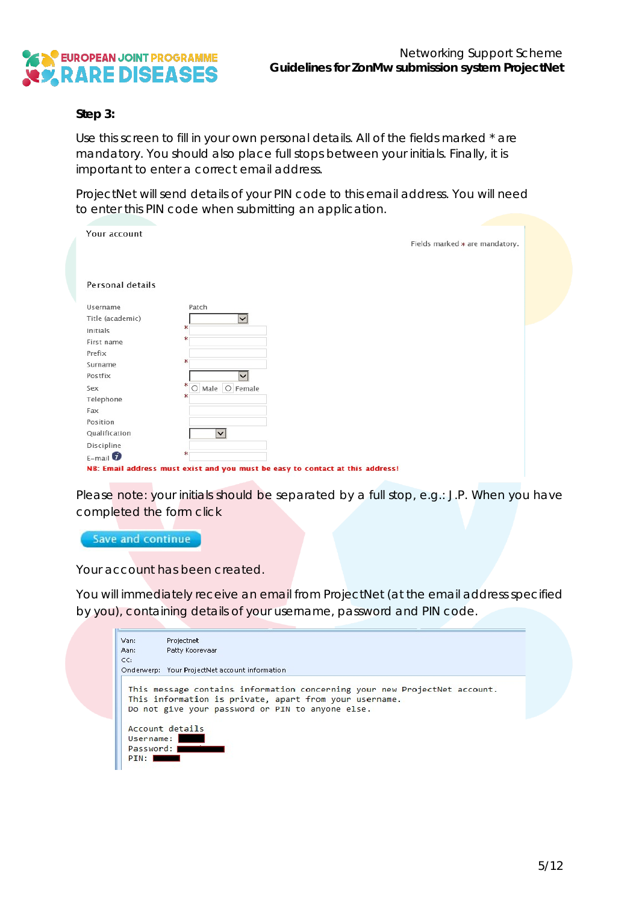![](_page_4_Picture_0.jpeg)

#### *Step 3:*

Use this screen to fill in your own personal details. All of the fields marked \* are mandatory. You should also place full stops between your initials. Finally, it is important to enter a correct email address.

ProjectNet will send details of your PIN code to this email address. You will need to enter this PIN code when submitting an application.

| Your account        |                        | Fields marked * are mandatory. |
|---------------------|------------------------|--------------------------------|
| Personal details    |                        |                                |
| Username            | Patch                  |                                |
| Title (academic)    | $\vee$                 |                                |
| Initials            | Ж                      |                                |
| First name          | ж                      |                                |
| Prefix              | ж                      |                                |
| Surname             |                        |                                |
| Postfix             | $\checkmark$           |                                |
| Sex                 | $*$<br>O Male O Female |                                |
| Telephone           | ж                      |                                |
| Fax                 |                        |                                |
| Position            |                        |                                |
| Qualification       | $\checkmark$           |                                |
| Discipline          |                        |                                |
| $E$ -mail $\bullet$ | Ж                      |                                |

Please note: your initials should be separated by a full stop, e.g.: J.P. When you have completed the form click

Save and continue

Your account has been created.

You will immediately receive an email from ProjectNet (at the email address specified by you), containing details of your username, password and PIN code.

| Van:        | Projectnet                                                                                                                                                                              |
|-------------|-----------------------------------------------------------------------------------------------------------------------------------------------------------------------------------------|
| Aan:        | Patty Koorevaar                                                                                                                                                                         |
| CC:         |                                                                                                                                                                                         |
|             | Onderwerp: Your ProjectNet account information                                                                                                                                          |
|             | This message contains information concerning your new ProjectNet account.<br>This information is private, apart from your username.<br>Do not give your password or PIN to anyone else. |
|             |                                                                                                                                                                                         |
|             | Account details                                                                                                                                                                         |
| Username: I |                                                                                                                                                                                         |
| Password: I |                                                                                                                                                                                         |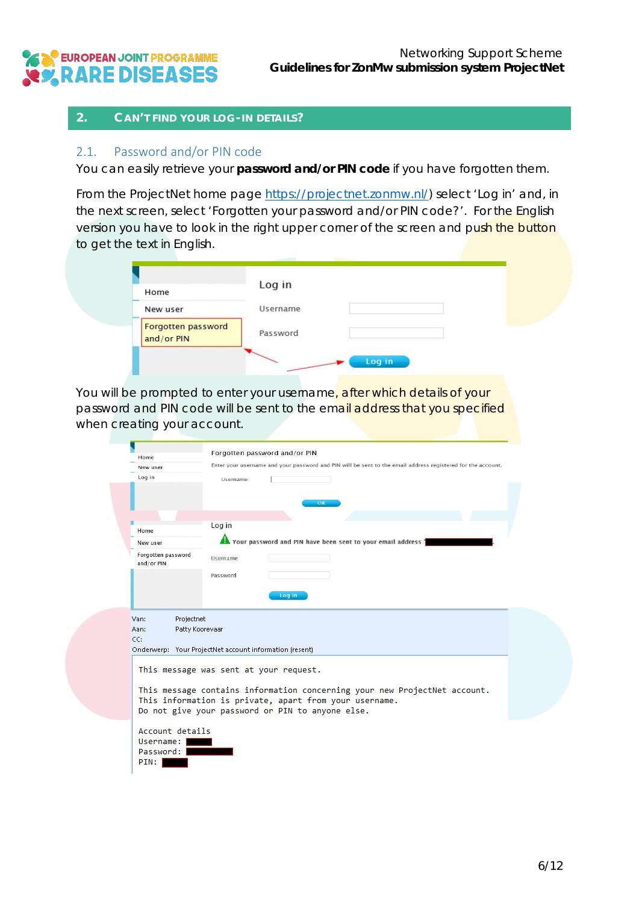![](_page_5_Picture_0.jpeg)

#### <span id="page-5-0"></span>**2. CAN'T FIND YOUR LOG-IN DETAILS?**

#### <span id="page-5-1"></span>2.1. Password and/or PIN code

You can easily retrieve your **password and/or PIN code** if you have forgotten them.

From the ProjectNet home page [https://projectnet.zonmw.nl/\)](https://projectnet.zonmw.nl/) select 'Log in' and, in the next screen, select 'Forgotten your password and/or PIN code?'. For the English version you have to look in the right upper corner of the screen and push the button to get the text in English.

| Home                             | Log in          |  |  |
|----------------------------------|-----------------|--|--|
| New user                         | <b>Username</b> |  |  |
| Forgotten password<br>and/or PIN | Password        |  |  |

You will be prompted to enter your username, after which details of your password and PIN code will be sent to the email address that you specified when creating your account.

| Home                                                                                                     | Forgotten password and/or PIN                                                                                                                                                           |  |  |
|----------------------------------------------------------------------------------------------------------|-----------------------------------------------------------------------------------------------------------------------------------------------------------------------------------------|--|--|
| New user                                                                                                 | Enter your username and your password and PIN will be sent to the email address registered for the account.                                                                             |  |  |
| Log in                                                                                                   | Username                                                                                                                                                                                |  |  |
|                                                                                                          | OK                                                                                                                                                                                      |  |  |
|                                                                                                          |                                                                                                                                                                                         |  |  |
| Home                                                                                                     | Log in                                                                                                                                                                                  |  |  |
| New user                                                                                                 | The Your password and PIN have been sent to your email address '                                                                                                                        |  |  |
| Forgotten password<br>and/or PIN                                                                         | Username                                                                                                                                                                                |  |  |
|                                                                                                          | Password                                                                                                                                                                                |  |  |
| Projectnet<br>Van:<br>Patty Koorevaar<br>Aan:<br>Onderwerp: Your ProjectNet account information (resent) |                                                                                                                                                                                         |  |  |
| CC:                                                                                                      |                                                                                                                                                                                         |  |  |
|                                                                                                          | This message was sent at your request.                                                                                                                                                  |  |  |
|                                                                                                          | This message contains information concerning your new ProjectNet account.<br>This information is private, apart from your username.<br>Do not give your password or PIN to anyone else. |  |  |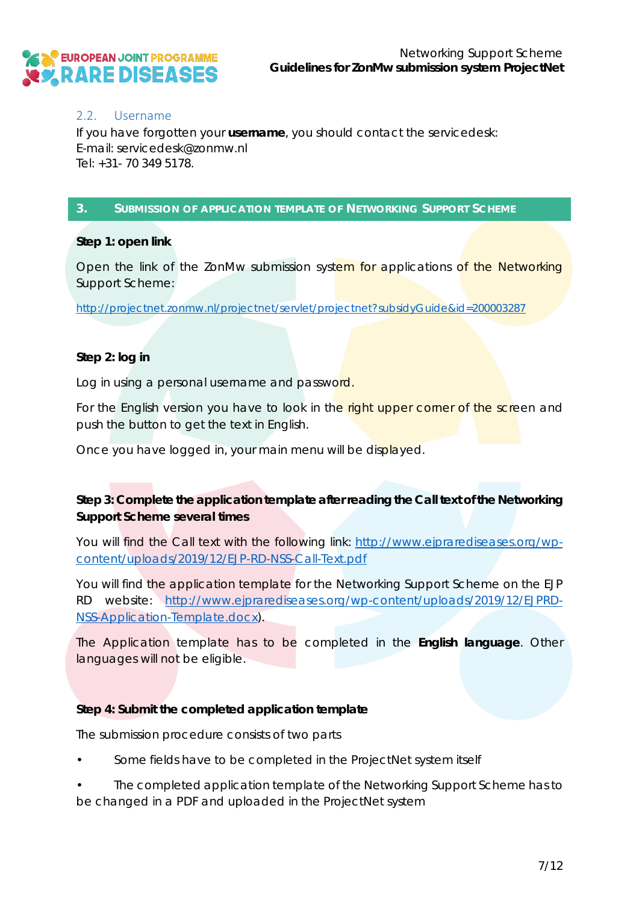![](_page_6_Picture_0.jpeg)

#### <span id="page-6-0"></span>2.2. Username

If you have forgotten your **username**, you should contact the servicedesk: E-mail: servicedesk@zonmw.nl Tel: +31- 70 349 5178.

#### <span id="page-6-1"></span>**3. SUBMISSION OF APPLICATION TEMPLATE OF NETWORKING SUPPORT SCHEME**

#### *Step 1: open link*

Open the link of the ZonMw submission system for applications of the Networking Support Scheme:

<http://projectnet.zonmw.nl/projectnet/servlet/projectnet?subsidyGuide&id=200003287>

#### *Step 2: log in*

Log in using a personal username and password.

For the English version you have to look in the right upper corner of the screen and push the button to get the text in English.

Once you have logged in, your main menu will be displayed.

#### *Step 3: Complete the application template after reading the Call text of the Networking Support Scheme several times*

You will find the Call text with the following link: [http://www.ejprarediseases.org/wp](http://www.ejprarediseases.org/wp-content/uploads/2019/12/EJP-RD-NSS-Call-Text.pdf)[content/uploads/2019/12/EJP-RD-NSS-Call-Text.pdf](http://www.ejprarediseases.org/wp-content/uploads/2019/12/EJP-RD-NSS-Call-Text.pdf)

You will find the application template for the Networking Support Scheme on the EJP RD website: [http://www.ejprarediseases.org/wp-content/uploads/2019/12/EJPRD-](http://www.ejprarediseases.org/wp-content/uploads/2019/12/EJPRD-NSS-Application-Template.docx)[NSS-Application-Template.docx\)](http://www.ejprarediseases.org/wp-content/uploads/2019/12/EJPRD-NSS-Application-Template.docx).

The Application template has to be completed in the **English language**. Other languages will not be eligible.

#### *Step 4: Submit the completed application template*

The submission procedure consists of two parts

Some fields have to be completed in the ProjectNet system itself

• The completed application template of the Networking Support Scheme has to be changed in a PDF and uploaded in the ProjectNet system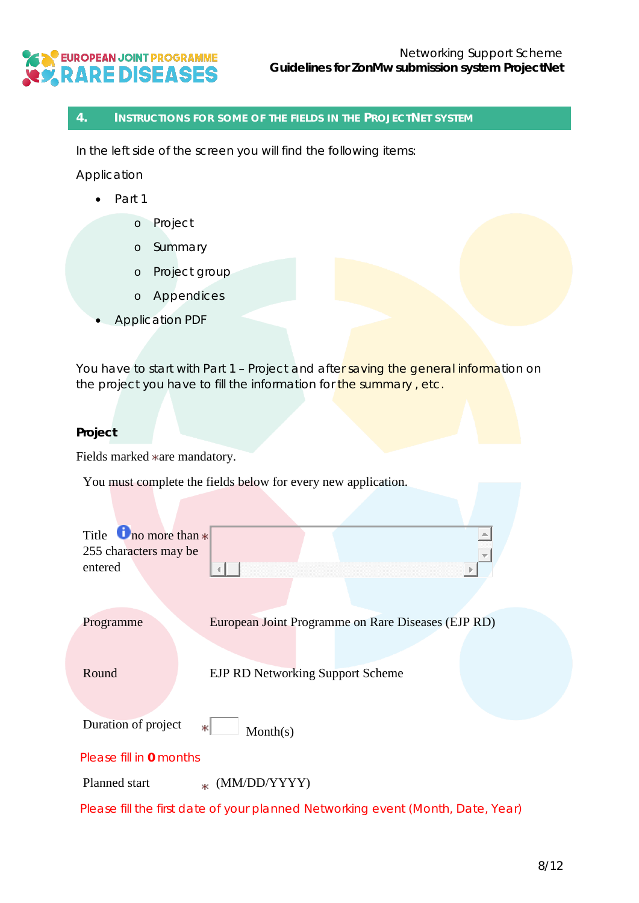# EN EUROPEAN JOINT PROGRAMME<br>CY, RARE DISEASES

#### <span id="page-7-0"></span>**4. INSTRUCTIONS FOR SOME OF THE FIELDS IN THE PROJECTNET SYSTEM**

In the left side of the screen you will find the following items:

*Application* 

- Part 1
	- o Project
	- o Summary
	- o Project group
	- o Appendices
- Application PDF

You have to start with Part 1 - Project and after saving the general information on the project you have to fill the information for the summary, etc.

#### **Project**

Fields marked  $*$ are mandatory.

You must complete the fields below for every new application.

| Title $\Box$ no more than $*$ |                                                                                 |
|-------------------------------|---------------------------------------------------------------------------------|
| 255 characters may be         |                                                                                 |
| entered                       |                                                                                 |
|                               |                                                                                 |
| Programme                     | European Joint Programme on Rare Diseases (EJP RD)                              |
|                               |                                                                                 |
| Round                         | <b>EJP RD Networking Support Scheme</b>                                         |
|                               |                                                                                 |
| Duration of project           | ж١<br>Month(s)                                                                  |
| Please fill in 0 months       |                                                                                 |
| Planned start                 | $*$ (MM/DD/YYYY)                                                                |
|                               | Please fill the first date of your planned Networking event (Month, Date, Year) |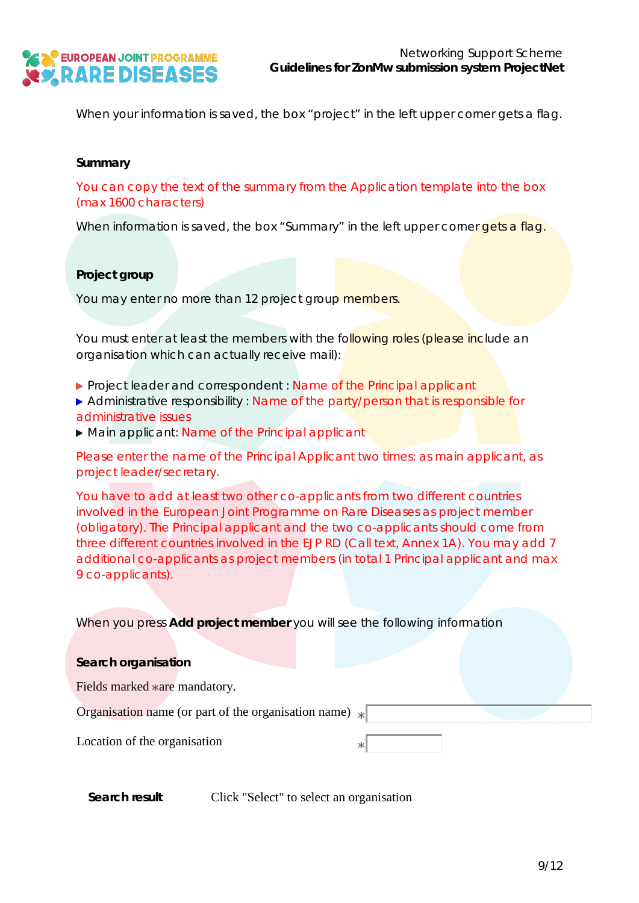![](_page_8_Picture_0.jpeg)

When your information is saved, the box "project" in the left upper corner gets a flag.

#### **Summary**

You can copy the text of the summary from the Application template into the box (max 1600 characters)

When information is saved, the box "Summary" in the left upper corner gets a flag.

#### **Project group**

You may enter no more than 12 project group members.

You must enter at least the members with the following roles (*please include an organisation which can actually receive mail*):

**Project leader and correspondent : Name of the Principal applicant** 

Administrative responsibility : Name of the party/person that is responsible for administrative issues

▶ Main applicant: Name of the Principal applicant

Please enter the name of the Principal Applicant two times: as main applicant, as project leader/secretary.

You have to add at least two other co-applicants from two different countries involved in the European Joint Programme on Rare Diseases as project member (obligatory). The Principal applicant and the two co-applicants should come from three different countries involved in the EJP RD (Call text, Annex 1A). You may add 7 additional co-applicants as project members (in total 1 Principal applicant and max 9 co-applicants).

When you press **Add project member** you will see the following information

| Search organisation                                                |  |  |  |  |
|--------------------------------------------------------------------|--|--|--|--|
| Fields marked *are mandatory.                                      |  |  |  |  |
| Organisation name (or part of the organisation name) $\  \cdot \ $ |  |  |  |  |
| Location of the organisation                                       |  |  |  |  |

| Search result | Click "Select" to select an organisation |  |
|---------------|------------------------------------------|--|
|---------------|------------------------------------------|--|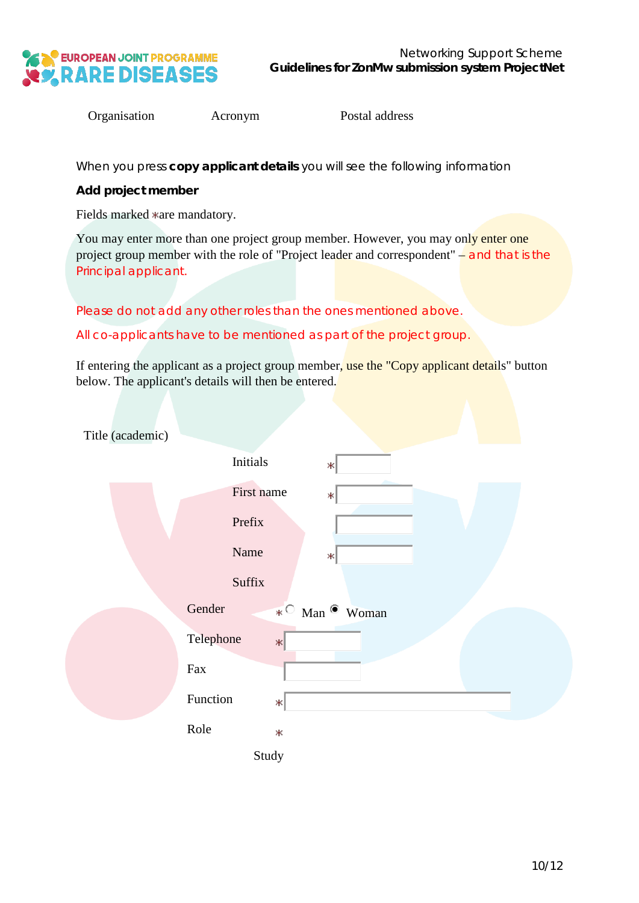![](_page_9_Picture_0.jpeg)

Organisation Acronym Postal address

When you press **copy applicant details** you will see the following information

**Add project member** 

Fields marked \*are mandatory.

You may enter more than one project group member. However, you may only enter one project group member with the role of "Project leader and correspondent" – and that is the Principal applicant.

Please do not add any other roles than the ones mentioned above.

All co-applicants have to be mentioned as part of the project group.

If entering the applicant as a project group member, use the "Copy applicant details" button below. The applicant's details will then be entered.

| Title (academic) |                                   |
|------------------|-----------------------------------|
|                  | <b>Initials</b><br>Ж              |
|                  | First name<br>ж                   |
|                  | Prefix                            |
|                  | Name<br>$\ast$                    |
|                  | Suffix                            |
|                  | Gender<br>$*$ Man $\bullet$ Woman |
|                  | Telephone<br>$\ast$               |
|                  | Fax                               |
|                  | Function<br>$\ast$                |
|                  | Role<br>Ж                         |
|                  | Study                             |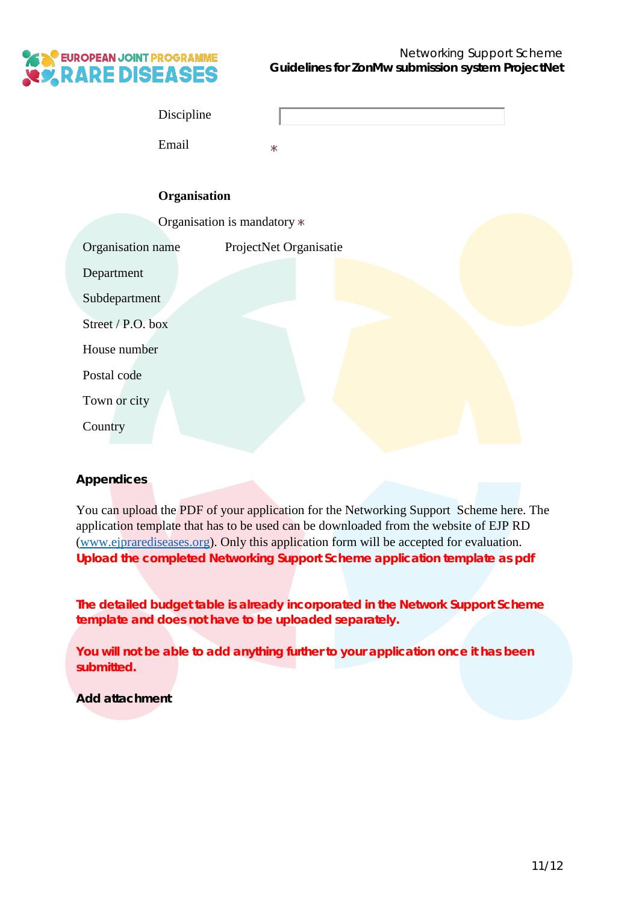![](_page_10_Picture_0.jpeg)

| Discipline |  |
|------------|--|
| Email      |  |

#### **Organisation**

|                   | Organisation is mandatory * |
|-------------------|-----------------------------|
| Organisation name | ProjectNet Organisatie      |
| Department        |                             |
| Subdepartment     |                             |
| Street / P.O. box |                             |
| House number      |                             |
| Postal code       |                             |
| Town or city      |                             |
| Country           |                             |

#### **Appendices**

You can upload the PDF of your application for the Networking Support Scheme here. The application template that has to be used can be downloaded from the website of EJP RD [\(www.ejprarediseases.org\)](http://www.ejprarediseases.org/). Only this application form will be accepted for evaluation. **Upload the completed Networking Support Scheme application template as pdf**

**The detailed budget table is already incorporated in the Network Support Scheme template and does not have to be uploaded separately.**

**You will not be able to add anything further to your application once it has been submitted.**

**Add attachment**